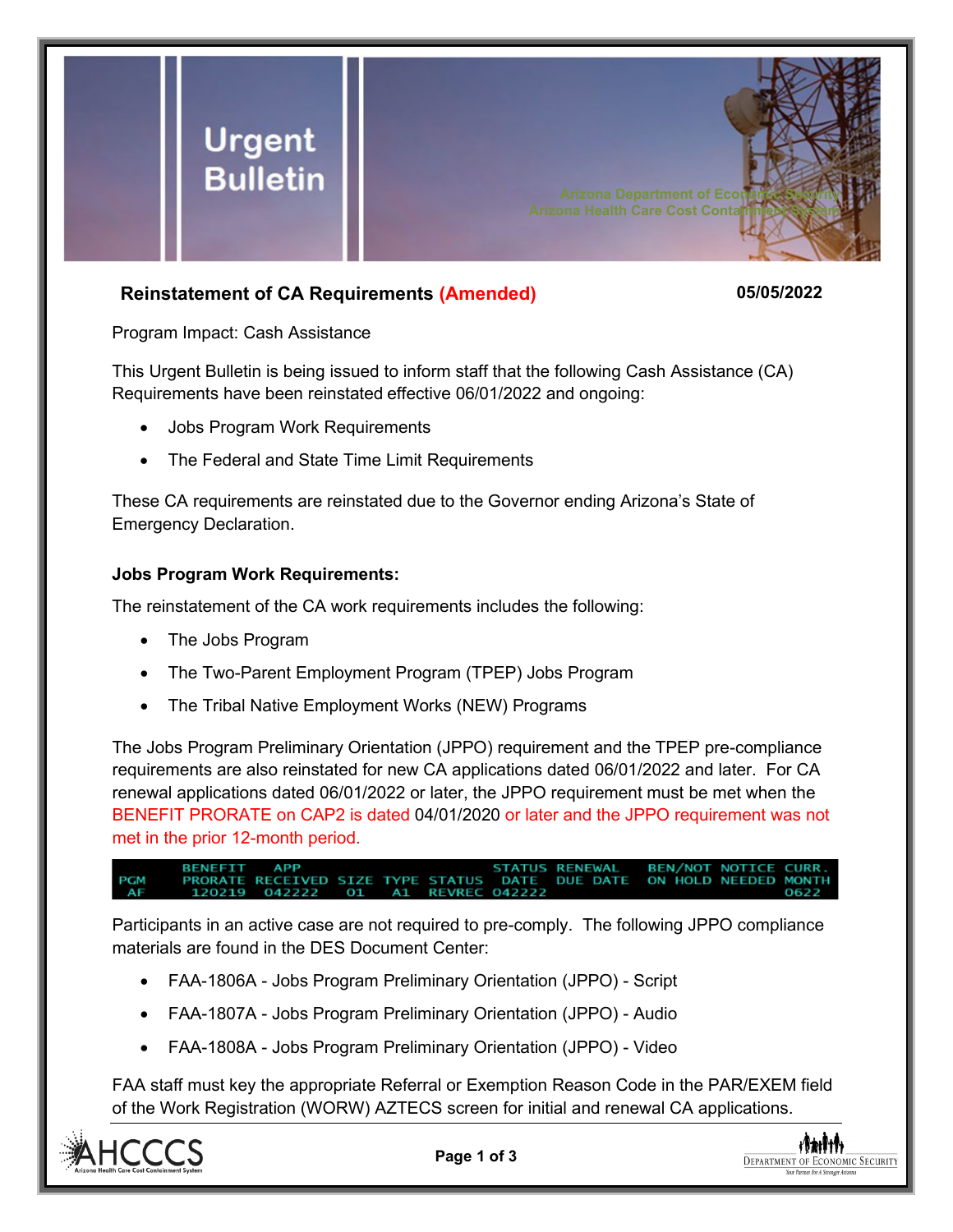

## **Reinstatement of CA Requirements (Amended) 05/05/2022**

Program Impact: Cash Assistance

This Urgent Bulletin is being issued to inform staff that the following Cash Assistance (CA) Requirements have been reinstated effective 06/01/2022 and ongoing:

- Jobs Program Work Requirements
- The Federal and State Time Limit Requirements

These CA requirements are reinstated due to the Governor ending Arizona's State of Emergency Declaration.

## **Jobs Program Work Requirements:**

The reinstatement of the CA work requirements includes the following:

- The Jobs Program
- The Two-Parent Employment Program (TPEP) Jobs Program
- The Tribal Native Employment Works (NEW) Programs

The Jobs Program Preliminary Orientation (JPPO) requirement and the TPEP pre-compliance requirements are also reinstated for new CA applications dated 06/01/2022 and later. For CA renewal applications dated 06/01/2022 or later, the JPPO requirement must be met when the BENEFIT PRORATE on CAP2 is dated 04/01/2020 or later and the JPPO requirement was not met in the prior 12-month period.

**RENEWAL BENEFIT APP** STATUS **BEN/NOT NOTICE CURR** RECEIVED SIZE TYPE STATUS **DUE DATE** ON HOLD NEEDED MONTH DATE **REVREC** 

Participants in an active case are not required to pre-comply. The following JPPO compliance materials are found in the DES Document Center:

- FAA-1806A Jobs Program Preliminary Orientation (JPPO) Script
- FAA-1807A Jobs Program Preliminary Orientation (JPPO) Audio
- FAA-1808A Jobs Program Preliminary Orientation (JPPO) Video

FAA staff must key the appropriate Referral or Exemption Reason Code in the PAR/EXEM field of the Work Registration (WORW) AZTECS screen for initial and renewal CA applications.



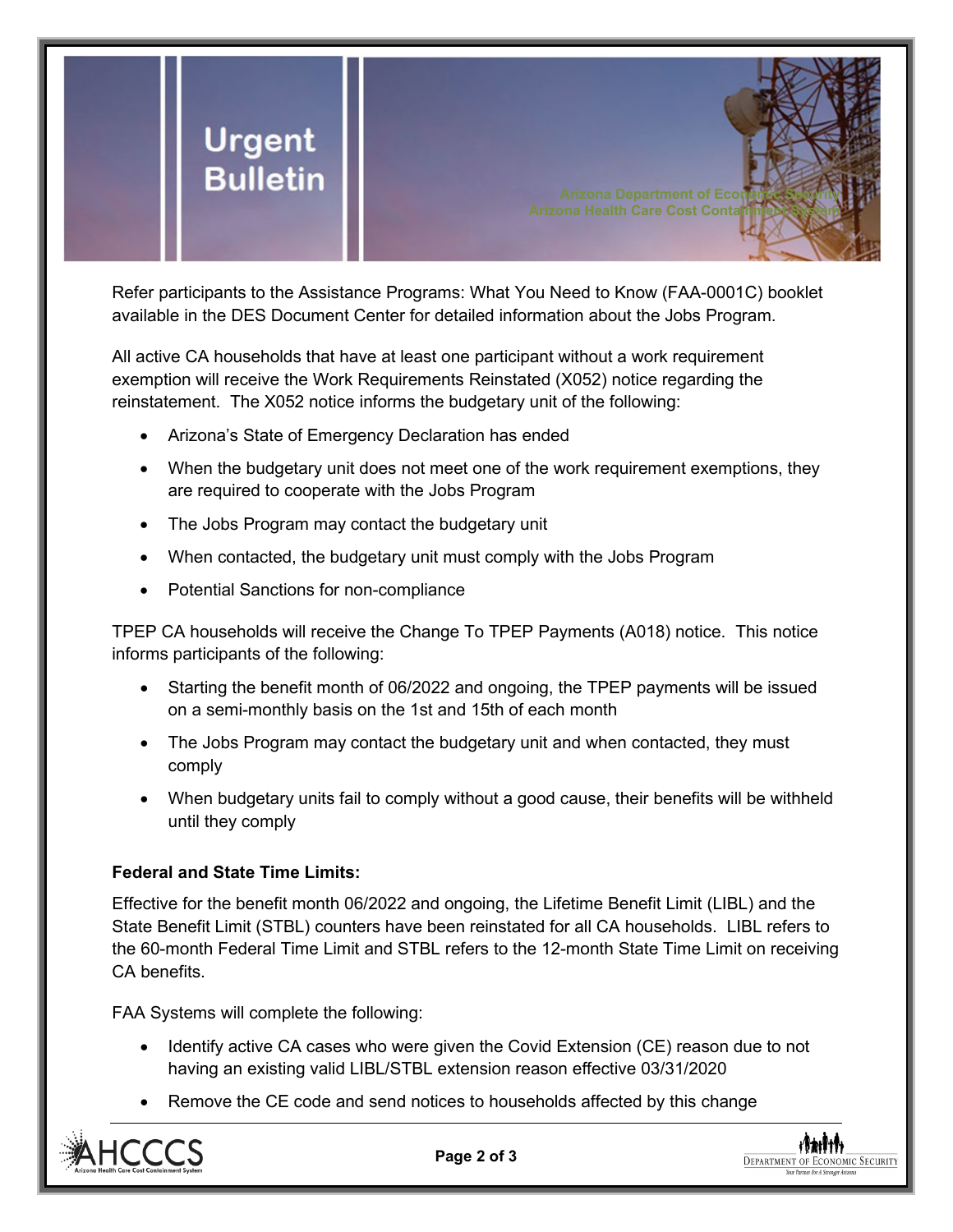

Refer participants to the Assistance Programs: What You Need to Know (FAA-0001C) booklet available in the DES Document Center for detailed information about the Jobs Program.

All active CA households that have at least one participant without a work requirement exemption will receive the Work Requirements Reinstated (X052) notice regarding the reinstatement. The X052 notice informs the budgetary unit of the following:

- Arizona's State of Emergency Declaration has ended
- When the budgetary unit does not meet one of the work requirement exemptions, they are required to cooperate with the Jobs Program
- The Jobs Program may contact the budgetary unit
- When contacted, the budgetary unit must comply with the Jobs Program
- Potential Sanctions for non-compliance

TPEP CA households will receive the Change To TPEP Payments (A018) notice. This notice informs participants of the following:

- Starting the benefit month of 06/2022 and ongoing, the TPEP payments will be issued on a semi-monthly basis on the 1st and 15th of each month
- The Jobs Program may contact the budgetary unit and when contacted, they must comply
- When budgetary units fail to comply without a good cause, their benefits will be withheld until they comply

## **Federal and State Time Limits:**

Effective for the benefit month 06/2022 and ongoing, the Lifetime Benefit Limit (LIBL) and the State Benefit Limit (STBL) counters have been reinstated for all CA households. LIBL refers to the 60-month Federal Time Limit and STBL refers to the 12-month State Time Limit on receiving CA benefits.

FAA Systems will complete the following:

- Identify active CA cases who were given the Covid Extension (CE) reason due to not having an existing valid LIBL/STBL extension reason effective 03/31/2020
- Remove the CE code and send notices to households affected by this change